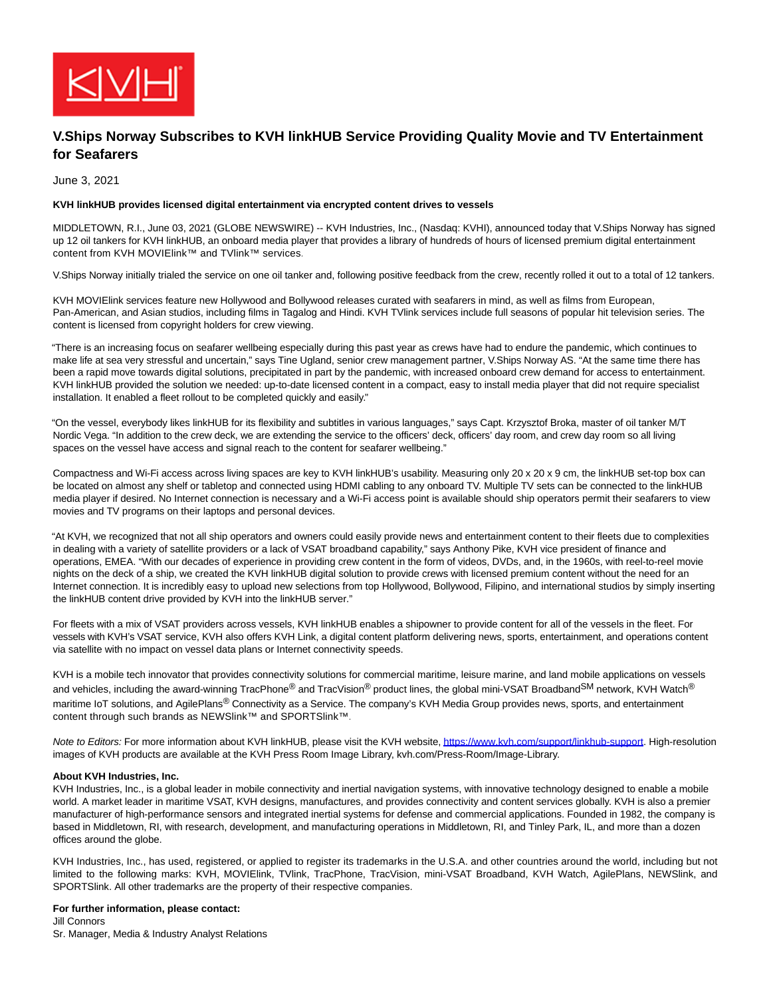

## **V.Ships Norway Subscribes to KVH linkHUB Service Providing Quality Movie and TV Entertainment for Seafarers**

June 3, 2021

## **KVH linkHUB provides licensed digital entertainment via encrypted content drives to vessels**

MIDDLETOWN, R.I., June 03, 2021 (GLOBE NEWSWIRE) -- KVH Industries, Inc., (Nasdaq: KVHI), announced today that V.Ships Norway has signed up 12 oil tankers for KVH linkHUB, an onboard media player that provides a library of hundreds of hours of licensed premium digital entertainment content from KVH MOVIElink™ and TVlink™ services.

V.Ships Norway initially trialed the service on one oil tanker and, following positive feedback from the crew, recently rolled it out to a total of 12 tankers.

KVH MOVIElink services feature new Hollywood and Bollywood releases curated with seafarers in mind, as well as films from European, Pan-American, and Asian studios, including films in Tagalog and Hindi. KVH TVlink services include full seasons of popular hit television series. The content is licensed from copyright holders for crew viewing.

"There is an increasing focus on seafarer wellbeing especially during this past year as crews have had to endure the pandemic, which continues to make life at sea very stressful and uncertain," says Tine Ugland, senior crew management partner, V.Ships Norway AS. "At the same time there has been a rapid move towards digital solutions, precipitated in part by the pandemic, with increased onboard crew demand for access to entertainment. KVH linkHUB provided the solution we needed: up-to-date licensed content in a compact, easy to install media player that did not require specialist installation. It enabled a fleet rollout to be completed quickly and easily."

"On the vessel, everybody likes linkHUB for its flexibility and subtitles in various languages," says Capt. Krzysztof Broka, master of oil tanker M/T Nordic Vega. "In addition to the crew deck, we are extending the service to the officers' deck, officers' day room, and crew day room so all living spaces on the vessel have access and signal reach to the content for seafarer wellbeing."

Compactness and Wi-Fi access across living spaces are key to KVH linkHUB's usability. Measuring only 20 x 20 x 9 cm, the linkHUB set-top box can be located on almost any shelf or tabletop and connected using HDMI cabling to any onboard TV. Multiple TV sets can be connected to the linkHUB media player if desired. No Internet connection is necessary and a Wi-Fi access point is available should ship operators permit their seafarers to view movies and TV programs on their laptops and personal devices.

"At KVH, we recognized that not all ship operators and owners could easily provide news and entertainment content to their fleets due to complexities in dealing with a variety of satellite providers or a lack of VSAT broadband capability," says Anthony Pike, KVH vice president of finance and operations, EMEA. "With our decades of experience in providing crew content in the form of videos, DVDs, and, in the 1960s, with reel-to-reel movie nights on the deck of a ship, we created the KVH linkHUB digital solution to provide crews with licensed premium content without the need for an Internet connection. It is incredibly easy to upload new selections from top Hollywood, Bollywood, Filipino, and international studios by simply inserting the linkHUB content drive provided by KVH into the linkHUB server."

For fleets with a mix of VSAT providers across vessels, KVH linkHUB enables a shipowner to provide content for all of the vessels in the fleet. For vessels with KVH's VSAT service, KVH also offers KVH Link, a digital content platform delivering news, sports, entertainment, and operations content via satellite with no impact on vessel data plans or Internet connectivity speeds.

KVH is a mobile tech innovator that provides connectivity solutions for commercial maritime, leisure marine, and land mobile applications on vessels and vehicles, including the award-winning TracPhone® and TracVision<sup>®</sup> product lines, the global mini-VSAT Broadband<sup>SM</sup> network, KVH Watch<sup>®</sup> maritime IoT solutions, and AgilePlans® Connectivity as a Service. The company's KVH Media Group provides news, sports, and entertainment content through such brands as NEWSlink™ and SPORTSlink™.

Note to Editors: For more information about KVH linkHUB, please visit the KVH website[, https://www.kvh.com/support/linkhub-support.](https://www.globenewswire.com/Tracker?data=0l9vzTdhvLF5Pc4d2zSkmiz8RWqDHvwPcPw8bm1Y1cGKA1ZjTU1MTjXz8LXVuiSL6SS91keB2dGol4TvLUYlGpyJlULMYm_XTfI0IUgT_IfWiGJ_Gvl3RWXxhhAWA0s2_gDuT-o8gS1m1Ohc70JhPQ==) High-resolution images of KVH products are available at the KVH Press Room Image Library, kvh.com/Press-Room/Image-Library.

## **About KVH Industries, Inc.**

KVH Industries, Inc., is a global leader in mobile connectivity and inertial navigation systems, with innovative technology designed to enable a mobile world. A market leader in maritime VSAT, KVH designs, manufactures, and provides connectivity and content services globally. KVH is also a premier manufacturer of high-performance sensors and integrated inertial systems for defense and commercial applications. Founded in 1982, the company is based in Middletown, RI, with research, development, and manufacturing operations in Middletown, RI, and Tinley Park, IL, and more than a dozen offices around the globe.

KVH Industries, Inc., has used, registered, or applied to register its trademarks in the U.S.A. and other countries around the world, including but not limited to the following marks: KVH, MOVIElink, TVlink, TracPhone, TracVision, mini-VSAT Broadband, KVH Watch, AgilePlans, NEWSlink, and SPORTSlink. All other trademarks are the property of their respective companies.

## **For further information, please contact:**

Jill Connors Sr. Manager, Media & Industry Analyst Relations